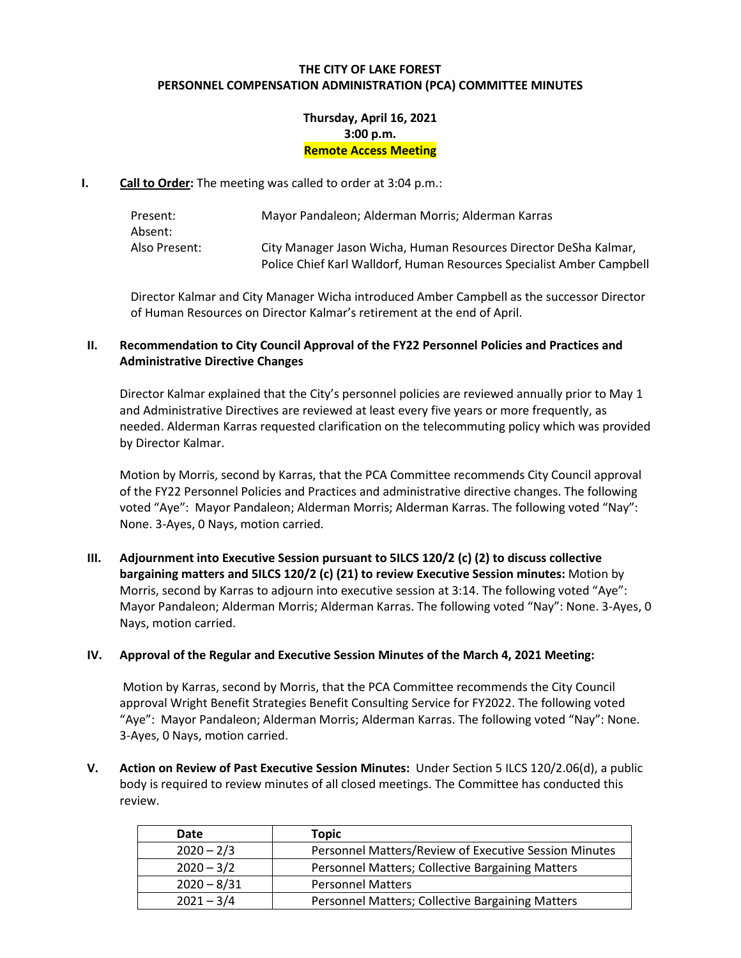## **THE CITY OF LAKE FOREST PERSONNEL COMPENSATION ADMINISTRATION (PCA) COMMITTEE MINUTES**

**Thursday, April 16, 2021 3:00 p.m. Remote Access Meeting**

**I. Call to Order:** The meeting was called to order at 3:04 p.m.:

| Present:      | Mayor Pandaleon; Alderman Morris; Alderman Karras                     |
|---------------|-----------------------------------------------------------------------|
| Absent:       |                                                                       |
| Also Present: | City Manager Jason Wicha, Human Resources Director DeSha Kalmar,      |
|               | Police Chief Karl Walldorf, Human Resources Specialist Amber Campbell |

Director Kalmar and City Manager Wicha introduced Amber Campbell as the successor Director of Human Resources on Director Kalmar's retirement at the end of April.

## **II. Recommendation to City Council Approval of the FY22 Personnel Policies and Practices and Administrative Directive Changes**

Director Kalmar explained that the City's personnel policies are reviewed annually prior to May 1 and Administrative Directives are reviewed at least every five years or more frequently, as needed. Alderman Karras requested clarification on the telecommuting policy which was provided by Director Kalmar.

Motion by Morris, second by Karras, that the PCA Committee recommends City Council approval of the FY22 Personnel Policies and Practices and administrative directive changes. The following voted "Aye": Mayor Pandaleon; Alderman Morris; Alderman Karras. The following voted "Nay": None. 3-Ayes, 0 Nays, motion carried.

**III. Adjournment into Executive Session pursuant to 5ILCS 120/2 (c) (2) to discuss collective bargaining matters and 5ILCS 120/2 (c) (21) to review Executive Session minutes:** Motion by Morris, second by Karras to adjourn into executive session at 3:14. The following voted "Aye": Mayor Pandaleon; Alderman Morris; Alderman Karras. The following voted "Nay": None. 3-Ayes, 0 Nays, motion carried.

## **IV. Approval of the Regular and Executive Session Minutes of the March 4, 2021 Meeting:**

Motion by Karras, second by Morris, that the PCA Committee recommends the City Council approval Wright Benefit Strategies Benefit Consulting Service for FY2022. The following voted "Aye": Mayor Pandaleon; Alderman Morris; Alderman Karras. The following voted "Nay": None. 3-Ayes, 0 Nays, motion carried.

**V. Action on Review of Past Executive Session Minutes:** Under Section 5 ILCS 120/2.06(d), a public body is required to review minutes of all closed meetings. The Committee has conducted this review.

| Date          | Topic                                                 |
|---------------|-------------------------------------------------------|
| $2020 - 2/3$  | Personnel Matters/Review of Executive Session Minutes |
| $2020 - 3/2$  | Personnel Matters; Collective Bargaining Matters      |
| $2020 - 8/31$ | <b>Personnel Matters</b>                              |
| $2021 - 3/4$  | Personnel Matters; Collective Bargaining Matters      |